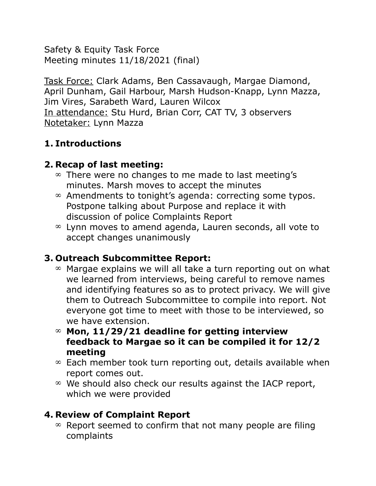Safety & Equity Task Force Meeting minutes 11/18/2021 (final)

Task Force: Clark Adams, Ben Cassavaugh, Margae Diamond, April Dunham, Gail Harbour, Marsh Hudson-Knapp, Lynn Mazza, Jim Vires, Sarabeth Ward, Lauren Wilcox In attendance: Stu Hurd, Brian Corr, CAT TV, 3 observers Notetaker: Lynn Mazza

# **1. Introductions**

### **2. Recap of last meeting:**

- $\infty$  There were no changes to me made to last meeting's minutes. Marsh moves to accept the minutes
- $\infty$  Amendments to tonight's agenda: correcting some typos. Postpone talking about Purpose and replace it with discussion of police Complaints Report
- $\infty$  Lynn moves to amend agenda, Lauren seconds, all vote to accept changes unanimously

#### **3. Outreach Subcommittee Report:**

- $\infty$  Margae explains we will all take a turn reporting out on what we learned from interviews, being careful to remove names and identifying features so as to protect privacy. We will give them to Outreach Subcommittee to compile into report. Not everyone got time to meet with those to be interviewed, so we have extension.
- **Mon, 11/29/21 deadline for getting interview feedback to Margae so it can be compiled it for 12/2 meeting**
- $\infty$  Each member took turn reporting out, details available when report comes out.
- $\infty$  We should also check our results against the IACP report, which we were provided

# **4. Review of Complaint Report**

 $\infty$  Report seemed to confirm that not many people are filing complaints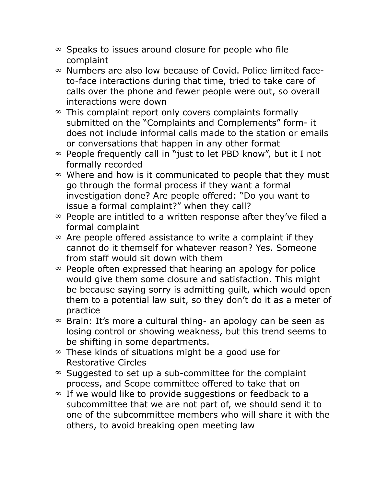- $\infty$  Speaks to issues around closure for people who file complaint
- $\infty$  Numbers are also low because of Covid. Police limited faceto-face interactions during that time, tried to take care of calls over the phone and fewer people were out, so overall interactions were down
- $\infty$  This complaint report only covers complaints formally submitted on the "Complaints and Complements" form- it does not include informal calls made to the station or emails or conversations that happen in any other format
- $\infty$  People frequently call in "just to let PBD know", but it I not formally recorded
- $\infty$  Where and how is it communicated to people that they must go through the formal process if they want a formal investigation done? Are people offered: "Do you want to issue a formal complaint?" when they call?
- $\infty$  People are intitled to a written response after they've filed a formal complaint
- $\infty$  Are people offered assistance to write a complaint if they cannot do it themself for whatever reason? Yes. Someone from staff would sit down with them
- $\infty$  People often expressed that hearing an apology for police would give them some closure and satisfaction. This might be because saying sorry is admitting guilt, which would open them to a potential law suit, so they don't do it as a meter of practice
- $\infty$  Brain: It's more a cultural thing- an apology can be seen as losing control or showing weakness, but this trend seems to be shifting in some departments.
- $\infty$  These kinds of situations might be a good use for Restorative Circles
- $\infty$  Suggested to set up a sub-committee for the complaint process, and Scope committee offered to take that on
- $\infty$  If we would like to provide suggestions or feedback to a subcommittee that we are not part of, we should send it to one of the subcommittee members who will share it with the others, to avoid breaking open meeting law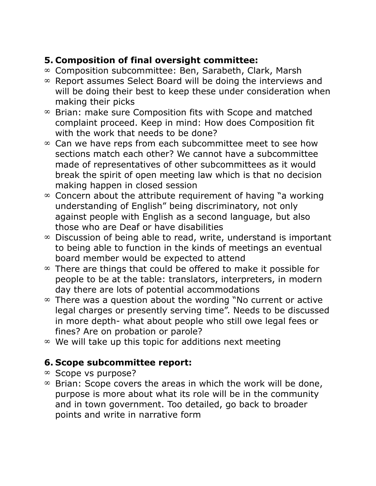# **5. Composition of final oversight committee:**

- $\infty$  Composition subcommittee: Ben, Sarabeth, Clark, Marsh
- $\infty$  Report assumes Select Board will be doing the interviews and will be doing their best to keep these under consideration when making their picks
- $\infty$  Brian: make sure Composition fits with Scope and matched complaint proceed. Keep in mind: How does Composition fit with the work that needs to be done?
- $\infty$  Can we have reps from each subcommittee meet to see how sections match each other? We cannot have a subcommittee made of representatives of other subcommittees as it would break the spirit of open meeting law which is that no decision making happen in closed session
- $\infty$  Concern about the attribute requirement of having "a working" understanding of English" being discriminatory, not only against people with English as a second language, but also those who are Deaf or have disabilities
- $\infty$  Discussion of being able to read, write, understand is important to being able to function in the kinds of meetings an eventual board member would be expected to attend
- $\infty$  There are things that could be offered to make it possible for people to be at the table: translators, interpreters, in modern day there are lots of potential accommodations
- $\infty$  There was a question about the wording "No current or active legal charges or presently serving time". Needs to be discussed in more depth- what about people who still owe legal fees or fines? Are on probation or parole?
- $\infty$  We will take up this topic for additions next meeting

#### **6. Scope subcommittee report:**

- $\infty$  Scope vs purpose?
- $\infty$  Brian: Scope covers the areas in which the work will be done, purpose is more about what its role will be in the community and in town government. Too detailed, go back to broader points and write in narrative form